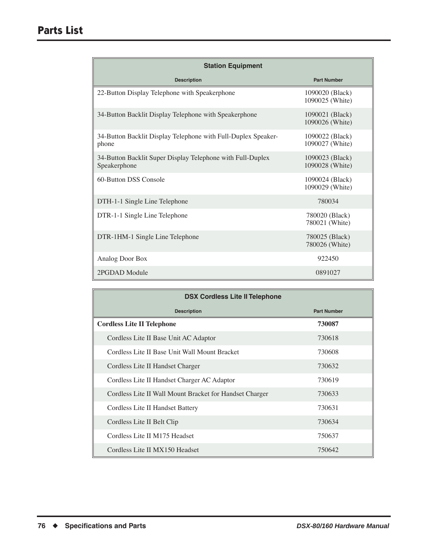| <b>Station Equipment</b>                                                   |                                    |  |
|----------------------------------------------------------------------------|------------------------------------|--|
| <b>Description</b>                                                         | <b>Part Number</b>                 |  |
| 22-Button Display Telephone with Speakerphone                              | 1090020 (Black)<br>1090025 (White) |  |
| 34-Button Backlit Display Telephone with Speakerphone                      | 1090021 (Black)<br>1090026 (White) |  |
| 34-Button Backlit Display Telephone with Full-Duplex Speaker-<br>phone     | 1090022 (Black)<br>1090027 (White) |  |
| 34-Button Backlit Super Display Telephone with Full-Duplex<br>Speakerphone | 1090023 (Black)<br>1090028 (White) |  |
| 60-Button DSS Console                                                      | 1090024 (Black)<br>1090029 (White) |  |
| DTH-1-1 Single Line Telephone                                              | 780034                             |  |
| DTR-1-1 Single Line Telephone                                              | 780020 (Black)<br>780021 (White)   |  |
| DTR-1HM-1 Single Line Telephone                                            | 780025 (Black)<br>780026 (White)   |  |
| Analog Door Box                                                            | 922450                             |  |
| 2PGDAD Module                                                              | 0891027                            |  |

| <b>DSX Cordless Lite II Telephone</b>                   |                    |  |
|---------------------------------------------------------|--------------------|--|
| <b>Description</b>                                      | <b>Part Number</b> |  |
| <b>Cordless Lite II Telephone</b>                       | 730087             |  |
| Cordless Lite II Base Unit AC Adaptor                   | 730618             |  |
| Cordless Lite II Base Unit Wall Mount Bracket           | 730608             |  |
| Cordless Lite II Handset Charger                        | 730632             |  |
| Cordless Lite II Handset Charger AC Adaptor             | 730619             |  |
| Cordless Lite II Wall Mount Bracket for Handset Charger | 730633             |  |
| Cordless Lite II Handset Battery                        | 730631             |  |
| Cordless Lite II Belt Clip                              | 730634             |  |
| Cordless Lite II M175 Headset                           | 750637             |  |
| Cordless Lite II MX150 Headset                          | 750642             |  |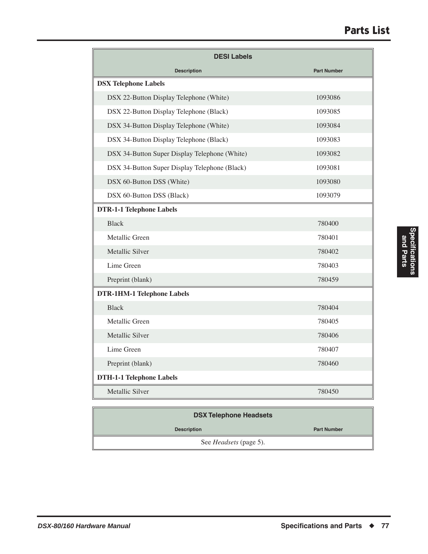## **Parts List**

| <b>DESI Labels</b>                            |                    |
|-----------------------------------------------|--------------------|
| <b>Description</b>                            | <b>Part Number</b> |
| <b>DSX Telephone Labels</b>                   |                    |
| DSX 22-Button Display Telephone (White)       | 1093086            |
| DSX 22-Button Display Telephone (Black)       | 1093085            |
| DSX 34-Button Display Telephone (White)       | 1093084            |
| DSX 34-Button Display Telephone (Black)       | 1093083            |
| DSX 34-Button Super Display Telephone (White) | 1093082            |
| DSX 34-Button Super Display Telephone (Black) | 1093081            |
| DSX 60-Button DSS (White)                     | 1093080            |
| DSX 60-Button DSS (Black)                     | 1093079            |
| <b>DTR-1-1 Telephone Labels</b>               |                    |
| <b>Black</b>                                  | 780400             |
| Metallic Green                                | 780401             |
| Metallic Silver                               | 780402             |
| Lime Green                                    | 780403             |
| Preprint (blank)                              | 780459             |
| <b>DTR-1HM-1 Telephone Labels</b>             |                    |
| <b>Black</b>                                  | 780404             |
| Metallic Green                                | 780405             |
| Metallic Silver                               | 780406             |
| Lime Green                                    | 780407             |
| Preprint (blank)                              | 780460             |
| <b>DTH-1-1 Telephone Labels</b>               |                    |
| Metallic Silver                               | 780450             |

| <b>DSX Telephone Headsets</b> |                    |
|-------------------------------|--------------------|
| <b>Description</b>            | <b>Part Number</b> |
| See <i>Headsets</i> (page 5). |                    |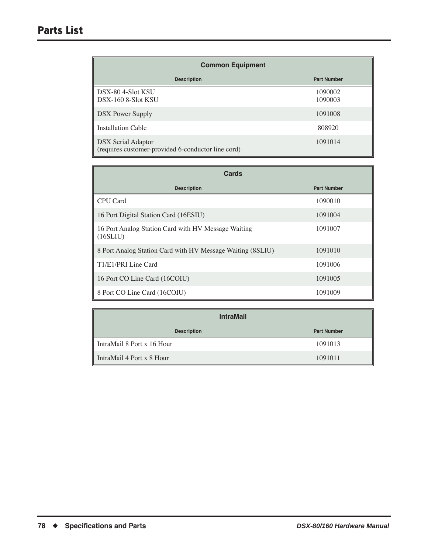| <b>Common Equipment</b>                                                         |                    |
|---------------------------------------------------------------------------------|--------------------|
| <b>Description</b>                                                              | <b>Part Number</b> |
| DSX-80 4-Slot KSU<br>DSX-160 8-Slot KSU                                         | 1090002<br>1090003 |
| <b>DSX</b> Power Supply                                                         | 1091008            |
| Installation Cable                                                              | 808920             |
| <b>DSX Serial Adaptor</b><br>(requires customer-provided 6-conductor line cord) | 1091014            |

| Cards                                                           |                    |
|-----------------------------------------------------------------|--------------------|
| <b>Description</b>                                              | <b>Part Number</b> |
| CPU Card                                                        | 1090010            |
| 16 Port Digital Station Card (16ESIU)                           | 1091004            |
| 16 Port Analog Station Card with HV Message Waiting<br>(16SLIU) | 1091007            |
| 8 Port Analog Station Card with HV Message Waiting (8SLIU)      | 1091010            |
| T1/E1/PRI Line Card                                             | 1091006            |
| 16 Port CO Line Card (16COIU)                                   | 1091005            |
| 8 Port CO Line Card (16COIU)                                    | 1091009            |

| <b>IntraMail</b>                      |                    |
|---------------------------------------|--------------------|
| <b>Description</b>                    | <b>Part Number</b> |
| IntraMail 8 Port x 16 Hour            | 1091013            |
| $\parallel$ IntraMail 4 Port x 8 Hour | 1091011            |